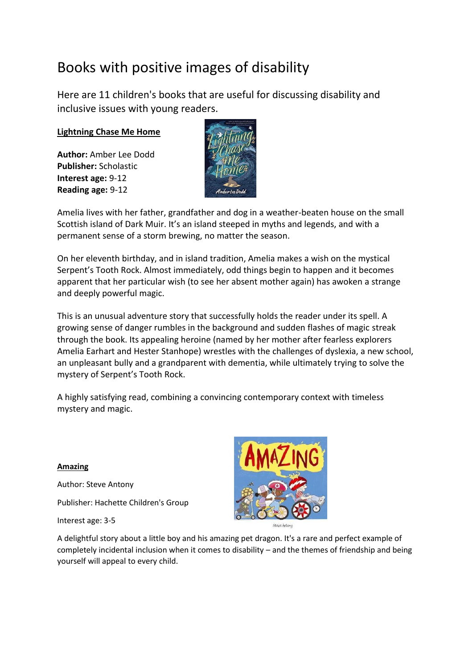## Books with positive images of disability

Here are 11 children's books that are useful for discussing disability and inclusive issues with young readers.

## **[Lightning Chase Me Home](https://www.booktrust.org.uk/book/l/lightning-chase-me-home/)**

**Author:** Amber Lee Dodd **Publisher:** Scholastic **Interest age:** 9-12 **Reading age:** 9-12



Amelia lives with her father, grandfather and dog in a weather-beaten house on the small Scottish island of Dark Muir. It's an island steeped in myths and legends, and with a permanent sense of a storm brewing, no matter the season.

On her eleventh birthday, and in island tradition, Amelia makes a wish on the mystical Serpent's Tooth Rock. Almost immediately, odd things begin to happen and it becomes apparent that her particular wish (to see her absent mother again) has awoken a strange and deeply powerful magic.

This is an unusual adventure story that successfully holds the reader under its spell. A growing sense of danger rumbles in the background and sudden flashes of magic streak through the book. Its appealing heroine (named by her mother after fearless explorers Amelia Earhart and Hester Stanhope) wrestles with the challenges of dyslexia, a new school, an unpleasant bully and a grandparent with dementia, while ultimately trying to solve the mystery of Serpent's Tooth Rock.

A highly satisfying read, combining a convincing contemporary context with timeless mystery and magic.

## **Amazing**

Author: Steve Antony Publisher: Hachette Children's Group

Interest age: 3-5



A delightful story about a little boy and his amazing pet dragon. It's a rare and perfect example of completely incidental inclusion when it comes to disability – and the themes of friendship and being yourself will appeal to every child.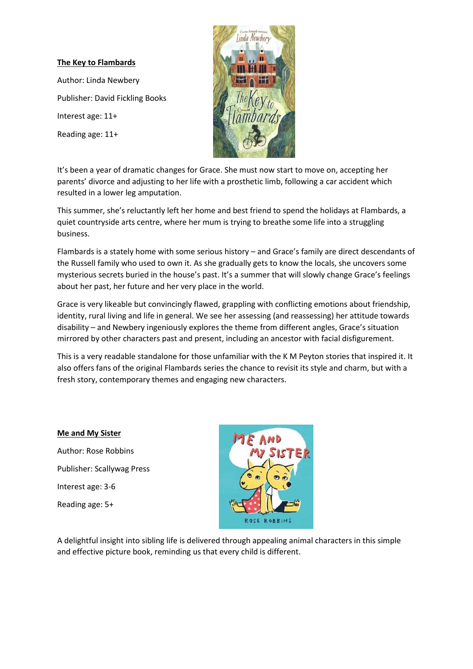#### **The Key to Flambards**

Author: Linda Newbery Publisher: David Fickling Books Interest age: 11+ Reading age: 11+



It's been a year of dramatic changes for Grace. She must now start to move on, accepting her parents' divorce and adjusting to her life with a prosthetic limb, following a car accident which resulted in a lower leg amputation.

This summer, she's reluctantly left her home and best friend to spend the holidays at Flambards, a quiet countryside arts centre, where her mum is trying to breathe some life into a struggling business.

Flambards is a stately home with some serious history – and Grace's family are direct descendants of the Russell family who used to own it. As she gradually gets to know the locals, she uncovers some mysterious secrets buried in the house's past. It's a summer that will slowly change Grace's feelings about her past, her future and her very place in the world.

Grace is very likeable but convincingly flawed, grappling with conflicting emotions about friendship, identity, rural living and life in general. We see her assessing (and reassessing) her attitude towards disability – and Newbery ingeniously explores the theme from different angles, Grace's situation mirrored by other characters past and present, including an ancestor with facial disfigurement.

This is a very readable standalone for those unfamiliar with the K M Peyton stories that inspired it. It also offers fans of the original Flambards series the chance to revisit its style and charm, but with a fresh story, contemporary themes and engaging new characters.

#### **Me and My Sister**

Author: Rose Robbins Publisher: Scallywag Press Interest age: 3-6 Reading age: 5+



A delightful insight into sibling life is delivered through appealing animal characters in this simple and effective picture book, reminding us that every child is different.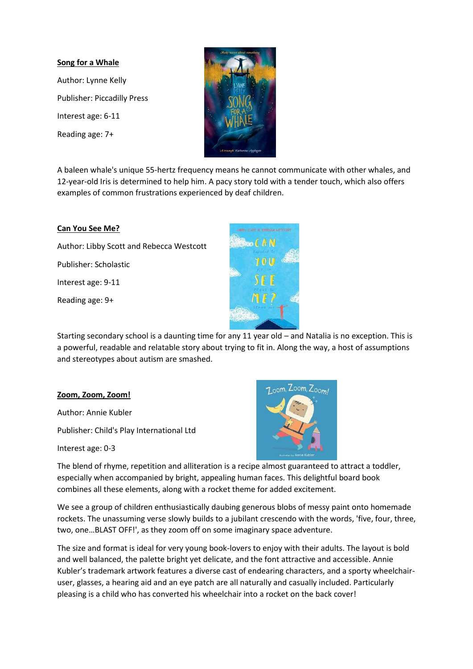## **Song for a Whale**

Author: Lynne Kelly Publisher: Piccadilly Press Interest age: 6-11 Reading age: 7+



A baleen whale's unique 55-hertz frequency means he cannot communicate with other whales, and 12-year-old Iris is determined to help him. A pacy story told with a tender touch, which also offers examples of common frustrations experienced by deaf children.

## **Can You See Me?**

Author: Libby Scott and Rebecca Westcott Publisher: Scholastic Interest age: 9-11 Reading age: 9+



Starting secondary school is a daunting time for any 11 year old – and Natalia is no exception. This is a powerful, readable and relatable story about trying to fit in. Along the way, a host of assumptions and stereotypes about autism are smashed.

## **Zoom, Zoom, Zoom!**

Author: Annie Kubler

Publisher: Child's Play International Ltd

Interest age: 0-3



The blend of rhyme, repetition and alliteration is a recipe almost guaranteed to attract a toddler, especially when accompanied by bright, appealing human faces. This delightful board book combines all these elements, along with a rocket theme for added excitement.

We see a group of children enthusiastically daubing generous blobs of messy paint onto homemade rockets. The unassuming verse slowly builds to a jubilant crescendo with the words, 'five, four, three, two, one…BLAST OFF!', as they zoom off on some imaginary space adventure.

The size and format is ideal for very young book-lovers to enjoy with their adults. The layout is bold and well balanced, the palette bright yet delicate, and the font attractive and accessible. Annie Kubler's trademark artwork features a diverse cast of endearing characters, and a sporty wheelchairuser, glasses, a hearing aid and an eye patch are all naturally and casually included. Particularly pleasing is a child who has converted his wheelchair into a rocket on the back cover!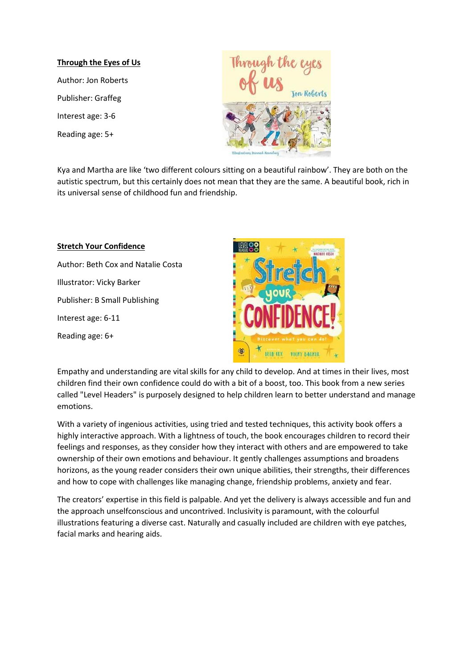#### **Through the Eyes of Us**

Author: Jon Roberts Publisher: Graffeg Interest age: 3-6 Reading age: 5+



Kya and Martha are like 'two different colours sitting on a beautiful rainbow'. They are both on the autistic spectrum, but this certainly does not mean that they are the same. A beautiful book, rich in its universal sense of childhood fun and friendship.

# **Stretch Your Confidence** Author: Beth Cox and Natalie Costa Illustrator: Vicky Barker Publisher: B Small Publishing Interest age: 6-11 Reading age: 6+



Empathy and understanding are vital skills for any child to develop. And at times in their lives, most children find their own confidence could do with a bit of a boost, too. This book from a new series called "Level Headers" is purposely designed to help children learn to better understand and manage emotions.

With a variety of ingenious activities, using tried and tested techniques, this activity book offers a highly interactive approach. With a lightness of touch, the book encourages children to record their feelings and responses, as they consider how they interact with others and are empowered to take ownership of their own emotions and behaviour. It gently challenges assumptions and broadens horizons, as the young reader considers their own unique abilities, their strengths, their differences and how to cope with challenges like managing change, friendship problems, anxiety and fear.

The creators' expertise in this field is palpable. And yet the delivery is always accessible and fun and the approach unselfconscious and uncontrived. Inclusivity is paramount, with the colourful illustrations featuring a diverse cast. Naturally and casually included are children with eye patches, facial marks and hearing aids.